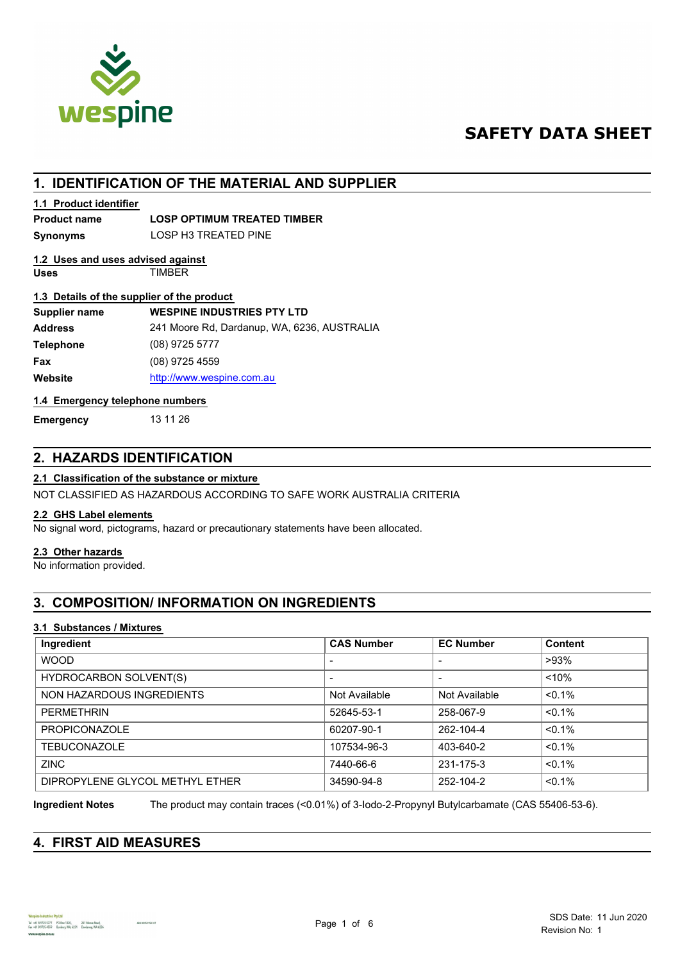

# **SAFETY DATA SHEET**

## **1. IDENTIFICATION OF THE MATERIAL AND SUPPLIER**

### **1.1 Product identifier**

## **Product name LOSP OPTIMUM TREATED TIMBER**

**Synonyms** LOSP H3 TREATED PINE

#### **Uses** TIMBER **1.2 Uses and uses advised against**

## **1.3 Details of the supplier of the product**

| <b>1.9 Details Of the supplier Of the product</b> |                                             |  |
|---------------------------------------------------|---------------------------------------------|--|
| Supplier name                                     | <b>WESPINE INDUSTRIES PTY LTD</b>           |  |
| <b>Address</b>                                    | 241 Moore Rd, Dardanup, WA, 6236, AUSTRALIA |  |
| <b>Telephone</b>                                  | $(08)$ 9725 5777                            |  |
| Fax                                               | (08) 9725 4559                              |  |
| Website                                           | http://www.wespine.com.au                   |  |

### **1.4 Emergency telephone numbers**

**Emergency** 13 11 26

## **2. HAZARDS IDENTIFICATION**

## **2.1 Classification of the substance or mixture**

NOT CLASSIFIED AS HAZARDOUS ACCORDING TO SAFE WORK AUSTRALIA CRITERIA

## **2.2 GHS Label elements**

No signal word, pictograms, hazard or precautionary statements have been allocated.

## **2.3 Other hazards**

No information provided.

## **3. COMPOSITION/ INFORMATION ON INGREDIENTS**

## **3.1 Substances / Mixtures**

| Ingredient                      | <b>CAS Number</b>        | <b>EC Number</b> | <b>Content</b> |
|---------------------------------|--------------------------|------------------|----------------|
| <b>WOOD</b>                     | $\,$                     | $\,$             | $>93\%$        |
| <b>HYDROCARBON SOLVENT(S)</b>   | $\overline{\phantom{0}}$ | $\,$             | $< 10\%$       |
| NON HAZARDOUS INGREDIENTS       | Not Available            | Not Available    | $< 0.1\%$      |
| PFRMFTHRIN                      | 52645-53-1               | 258-067-9        | $< 0.1\%$      |
| <b>PROPICONAZOLE</b>            | 60207-90-1               | 262-104-4        | $< 0.1\%$      |
| <b>TEBUCONAZOLE</b>             | 107534-96-3              | 403-640-2        | $< 0.1\%$      |
| <b>ZINC</b>                     | 7440-66-6                | 231-175-3        | $< 0.1\%$      |
| DIPROPYLENE GLYCOL METHYL ETHER | 34590-94-8               | 252-104-2        | $< 0.1\%$      |

**Ingredient Notes** The product may contain traces (<0.01%) of 3-Iodo-2-Propynyl Butylcarbamate (CAS 55406-53-6).

## **4. FIRST AID MEASURES**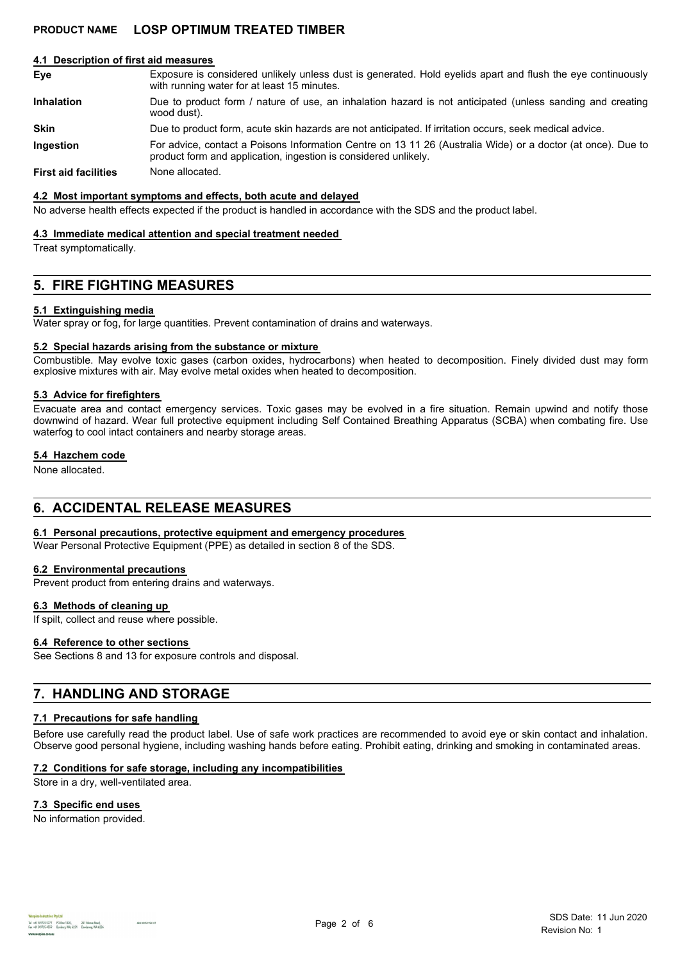## **PRODUCT NAME LOSP OPTIMUM TREATED TIMBER**

#### **4.1 Description of first aid measures**

| Eye                         | Exposure is considered unlikely unless dust is generated. Hold eyelids apart and flush the eye continuously<br>with running water for at least 15 minutes.                     |
|-----------------------------|--------------------------------------------------------------------------------------------------------------------------------------------------------------------------------|
| <b>Inhalation</b>           | Due to product form / nature of use, an inhalation hazard is not anticipated (unless sanding and creating<br>wood dust).                                                       |
| <b>Skin</b>                 | Due to product form, acute skin hazards are not anticipated. If irritation occurs, seek medical advice.                                                                        |
| <b>Ingestion</b>            | For advice, contact a Poisons Information Centre on 13 11 26 (Australia Wide) or a doctor (at once). Due to<br>product form and application, ingestion is considered unlikely. |
| <b>First aid facilities</b> | None allocated.                                                                                                                                                                |

#### **4.2 Most important symptoms and effects, both acute and delayed**

No adverse health effects expected if the product is handled in accordance with the SDS and the product label.

#### **4.3 Immediate medical attention and special treatment needed**

Treat symptomatically.

## **5. FIRE FIGHTING MEASURES**

#### **5.1 Extinguishing media**

Water spray or fog, for large quantities. Prevent contamination of drains and waterways.

### **5.2 Special hazards arising from the substance or mixture**

Combustible. May evolve toxic gases (carbon oxides, hydrocarbons) when heated to decomposition. Finely divided dust may form explosive mixtures with air. May evolve metal oxides when heated to decomposition.

#### **5.3 Advice for firefighters**

Evacuate area and contact emergency services. Toxic gases may be evolved in a fire situation. Remain upwind and notify those downwind of hazard. Wear full protective equipment including Self Contained Breathing Apparatus (SCBA) when combating fire. Use waterfog to cool intact containers and nearby storage areas.

#### **5.4 Hazchem code**

None allocated.

## **6. ACCIDENTAL RELEASE MEASURES**

#### **6.1 Personal precautions, protective equipment and emergency procedures**

Wear Personal Protective Equipment (PPE) as detailed in section 8 of the SDS.

#### **6.2 Environmental precautions**

Prevent product from entering drains and waterways.

#### **6.3 Methods of cleaning up**

If spilt, collect and reuse where possible.

### **6.4 Reference to other sections**

See Sections 8 and 13 for exposure controls and disposal.

## **7. HANDLING AND STORAGE**

#### **7.1 Precautions for safe handling**

Before use carefully read the product label. Use of safe work practices are recommended to avoid eye or skin contact and inhalation. Observe good personal hygiene, including washing hands before eating. Prohibit eating, drinking and smoking in contaminated areas.

#### **7.2 Conditions for safe storage, including any incompatibilities**

Store in a dry, well-ventilated area.

#### **7.3 Specific end uses**

No information provided.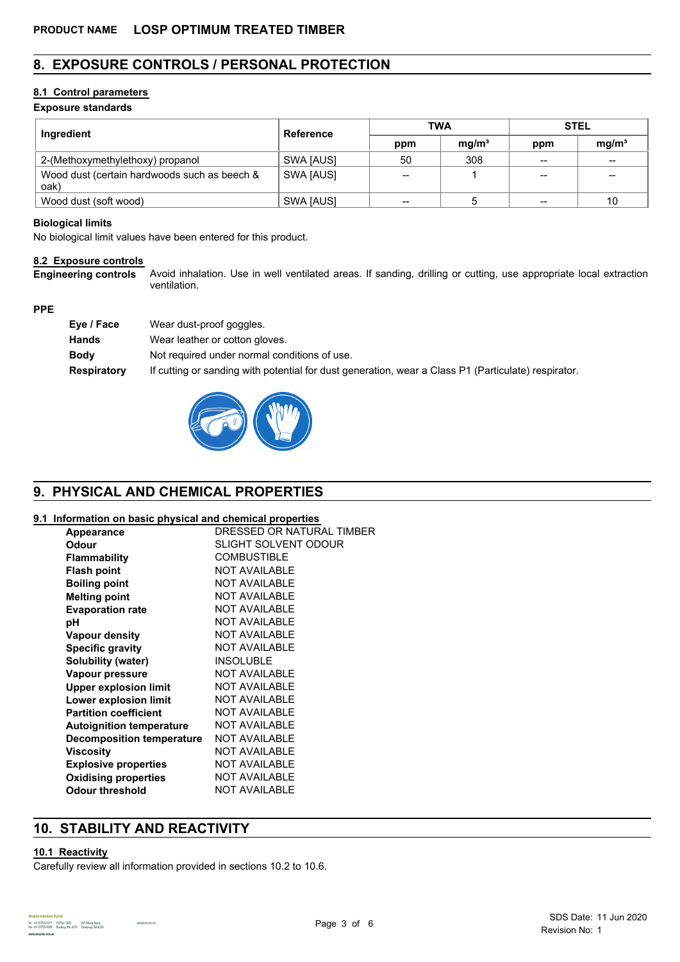## **8. EXPOSURE CONTROLS / PERSONAL PROTECTION**

## **8.1 Control parameters**

## **Exposure standards**

| Ingredient                                           | <b>Reference</b> | <b>TWA</b> |                   | <b>STEL</b> |                   |
|------------------------------------------------------|------------------|------------|-------------------|-------------|-------------------|
|                                                      |                  | ppm        | mq/m <sup>3</sup> | ppm         | mg/m <sup>3</sup> |
| 2-(Methoxymethylethoxy) propanol                     | SWA [AUS]        | 50         | 308               | $- -$       | $- -$             |
| Wood dust (certain hardwoods such as beech &<br>oak) | SWA [AUS]        | $- -$      |                   | $- -$       | --                |
| Wood dust (soft wood)                                | SWA [AUS]        | --         |                   | $- -$       | 10                |

### **Biological limits**

No biological limit values have been entered for this product.

### **8.2 Exposure controls**

Avoid inhalation. Use in well ventilated areas. If sanding, drilling or cutting, use appropriate local extraction ventilation. **Engineering controls**

### **PPE**

| Eye / Face  | Wear dust-proof goggles.                                                                            |
|-------------|-----------------------------------------------------------------------------------------------------|
| Hands       | Wear leather or cotton gloves.                                                                      |
| Bodv        | Not required under normal conditions of use.                                                        |
| Respiratory | If cutting or sanding with potential for dust generation, wear a Class P1 (Particulate) respirator. |



## **9. PHYSICAL AND CHEMICAL PROPERTIES**

### **9.1 Information on basic physical and chemical properties**

| . <b>.</b>                       |                             |
|----------------------------------|-----------------------------|
| Appearance                       | DRESSED OR NATURAL TIMBER   |
| <b>Odour</b>                     | <b>SLIGHT SOLVENT ODOUR</b> |
| <b>Flammability</b>              | <b>COMBUSTIBLE</b>          |
| <b>Flash point</b>               | <b>NOT AVAILABLE</b>        |
| <b>Boiling point</b>             | <b>NOT AVAILABLE</b>        |
| <b>Melting point</b>             | <b>NOT AVAILABLE</b>        |
| <b>Evaporation rate</b>          | <b>NOT AVAILABLE</b>        |
| рH                               | <b>NOT AVAILABLE</b>        |
| <b>Vapour density</b>            | <b>NOT AVAILABLE</b>        |
| <b>Specific gravity</b>          | <b>NOT AVAILABLE</b>        |
| Solubility (water)               | <b>INSOLUBLE</b>            |
| Vapour pressure                  | <b>NOT AVAILABLE</b>        |
| <b>Upper explosion limit</b>     | <b>NOT AVAILABLE</b>        |
| Lower explosion limit            | <b>NOT AVAILABLE</b>        |
| <b>Partition coefficient</b>     | <b>NOT AVAILABLE</b>        |
| <b>Autoignition temperature</b>  | <b>NOT AVAILABLE</b>        |
| <b>Decomposition temperature</b> | <b>NOT AVAILABLE</b>        |
| Viscositv                        | <b>NOT AVAILABLE</b>        |
| <b>Explosive properties</b>      | <b>NOT AVAILABLE</b>        |
| <b>Oxidising properties</b>      | <b>NOT AVAILABLE</b>        |
| <b>Odour threshold</b>           | <b>NOT AVAILABLE</b>        |

## **10. STABILITY AND REACTIVITY**

### **10.1 Reactivity**

Carefully review all information provided in sections 10.2 to 10.6.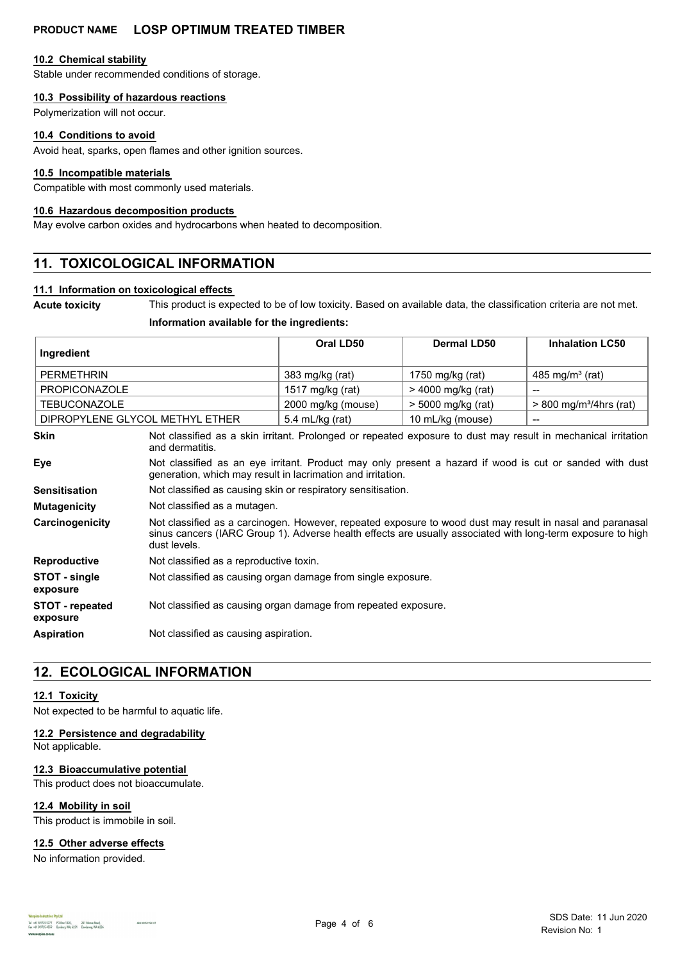## **PRODUCT NAME LOSP OPTIMUM TREATED TIMBER**

### **10.2 Chemical stability**

Stable under recommended conditions of storage.

### **10.3 Possibility of hazardous reactions**

Polymerization will not occur.

#### **10.4 Conditions to avoid**

Avoid heat, sparks, open flames and other ignition sources.

#### **10.5 Incompatible materials**

Compatible with most commonly used materials.

#### **10.6 Hazardous decomposition products**

May evolve carbon oxides and hydrocarbons when heated to decomposition.

## **11. TOXICOLOGICAL INFORMATION**

## **11.1 Information on toxicological effects**

**Acute toxicity** This product is expected to be of low toxicity. Based on available data, the classification criteria are not met.

#### **Information available for the ingredients:**

| Ingredient                      | Oral LD50          | Dermal LD50        | <b>Inhalation LC50</b>                |
|---------------------------------|--------------------|--------------------|---------------------------------------|
| PERMETHRIN                      | 383 mg/kg (rat)    | 1750 mg/kg (rat)   | 485 mg/m <sup>3</sup> (rat)           |
| PROPICONAZOLE                   | 1517 mg/kg (rat)   | > 4000 mg/kg (rat) | $- -$                                 |
| <b>TEBUCONAZOLE</b>             | 2000 mg/kg (mouse) | > 5000 mg/kg (rat) | $> 800$ mg/m <sup>3</sup> /4hrs (rat) |
| DIPROPYLENE GLYCOL METHYL ETHER | 5.4 mL/kg (rat)    | 10 mL/kg (mouse)   | $- -$                                 |

| <b>Skin</b>                        | Not classified as a skin irritant. Prolonged or repeated exposure to dust may result in mechanical irritation<br>and dermatitis.                                                                                                         |
|------------------------------------|------------------------------------------------------------------------------------------------------------------------------------------------------------------------------------------------------------------------------------------|
| Eye                                | Not classified as an eye irritant. Product may only present a hazard if wood is cut or sanded with dust<br>generation, which may result in lacrimation and irritation.                                                                   |
| <b>Sensitisation</b>               | Not classified as causing skin or respiratory sensitisation.                                                                                                                                                                             |
| <b>Mutagenicity</b>                | Not classified as a mutagen.                                                                                                                                                                                                             |
| Carcinogenicity                    | Not classified as a carcinogen. However, repeated exposure to wood dust may result in nasal and paranasal<br>sinus cancers (IARC Group 1). Adverse health effects are usually associated with long-term exposure to high<br>dust levels. |
| <b>Reproductive</b>                | Not classified as a reproductive toxin.                                                                                                                                                                                                  |
| STOT - single<br>exposure          | Not classified as causing organ damage from single exposure.                                                                                                                                                                             |
| <b>STOT</b> - repeated<br>exposure | Not classified as causing organ damage from repeated exposure.                                                                                                                                                                           |
| <b>Aspiration</b>                  | Not classified as causing aspiration.                                                                                                                                                                                                    |

## **12. ECOLOGICAL INFORMATION**

### **12.1 Toxicity**

Not expected to be harmful to aquatic life.

### **12.2 Persistence and degradability**

Not applicable.

#### **12.3 Bioaccumulative potential**

This product does not bioaccumulate.

### **12.4 Mobility in soil**

This product is immobile in soil.

#### **12.5 Other adverse effects**

No information provided.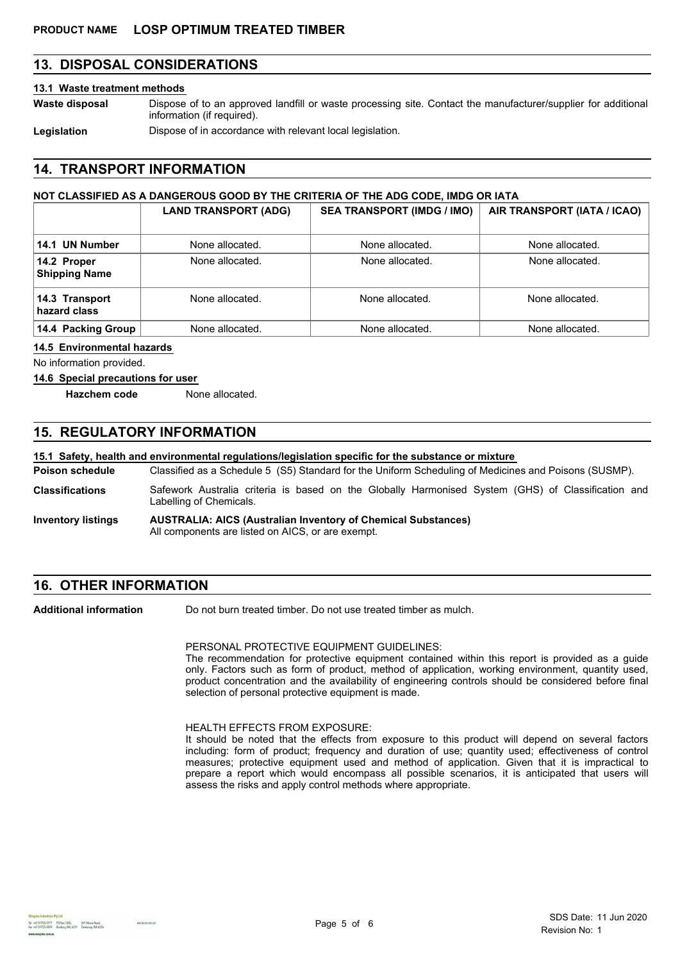## **13. DISPOSAL CONSIDERATIONS**

#### **13.1 Waste treatment methods**

**Waste disposal**

Dispose of to an approved landfill or waste processing site. Contact the manufacturer/supplier for additional information (if required).

Legislation **Dispose of in accordance with relevant local legislation.** 

## **14. TRANSPORT INFORMATION**

### **NOT CLASSIFIED AS A DANGEROUS GOOD BY THE CRITERIA OF THE ADG CODE, IMDG OR IATA**

|                                     | <b>LAND TRANSPORT (ADG)</b> | <b>SEA TRANSPORT (IMDG / IMO)</b> | AIR TRANSPORT (IATA / ICAO) |
|-------------------------------------|-----------------------------|-----------------------------------|-----------------------------|
| 14.1 UN Number                      | None allocated.             | None allocated.                   | None allocated.             |
| 14.2 Proper<br><b>Shipping Name</b> | None allocated.             | None allocated.                   | None allocated.             |
| 14.3 Transport<br>hazard class      | None allocated.             | None allocated.                   | None allocated.             |
| 14.4 Packing Group                  | None allocated.             | None allocated.                   | None allocated.             |

#### **14.5 Environmental hazards**

No information provided.

#### **14.6 Special precautions for user**

**Hazchem code** None allocated.

## **15. REGULATORY INFORMATION**

### **15.1 Safety, health and environmental regulations/legislation specific for the substance or mixture**

Classified as a Schedule 5 (S5) Standard for the Uniform Scheduling of Medicines and Poisons (SUSMP). **Poison schedule**

- Safework Australia criteria is based on the Globally Harmonised System (GHS) of Classification and Labelling of Chemicals. **Classifications**
- **AUSTRALIA: AICS (Australian Inventory of Chemical Substances)** All components are listed on AICS, or are exempt. **Inventory listings**

## **16. OTHER INFORMATION**

Do not burn treated timber. Do not use treated timber as mulch. **Additional information**

PERSONAL PROTECTIVE EQUIPMENT GUIDELINES:

The recommendation for protective equipment contained within this report is provided as a guide only. Factors such as form of product, method of application, working environment, quantity used, product concentration and the availability of engineering controls should be considered before final selection of personal protective equipment is made.

#### HEALTH EFFECTS FROM EXPOSURE:

It should be noted that the effects from exposure to this product will depend on several factors including: form of product; frequency and duration of use; quantity used; effectiveness of control measures; protective equipment used and method of application. Given that it is impractical to prepare a report which would encompass all possible scenarios, it is anticipated that users will assess the risks and apply control methods where appropriate.